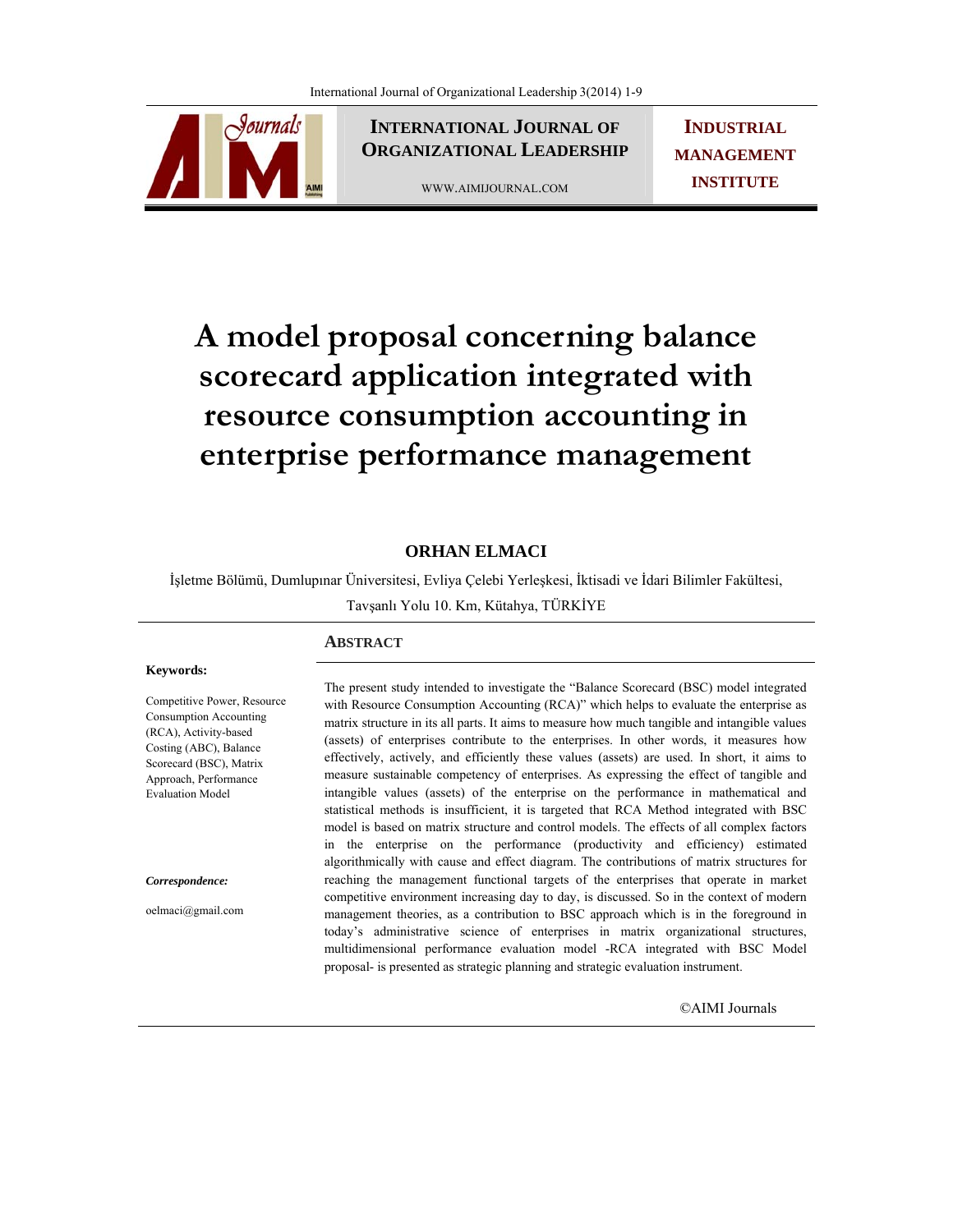Sournals

**INTERNATIONAL JOURNAL OF ORGANIZATIONAL LEADERSHIP**

WWW.AIMIJOURNAL.COM

**INDUSTRIAL MANAGEMENT INSTITUTE**

# **A model proposal concerning balance scorecard application integrated with resource consumption accounting in enterprise performance management**

# **ORHAN ELMACI**

İşletme Bölümü, Dumlupınar Üniversitesi, Evliya Çelebi Yerleşkesi, İktisadi ve İdari Bilimler Fakültesi,

Tavşanlı Yolu 10. Km, Kütahya, TÜRKİYE

#### **Keywords:**

Competitive Power, Resource Consumption Accounting (RCA), Activity-based Costing (ABC), Balance Scorecard (BSC), Matrix Approach, Performance Evaluation Model

#### *Correspondence:*

oelmaci@gmail.com

## **ABSTRACT**

The present study intended to investigate the "Balance Scorecard (BSC) model integrated with Resource Consumption Accounting (RCA)" which helps to evaluate the enterprise as matrix structure in its all parts. It aims to measure how much tangible and intangible values (assets) of enterprises contribute to the enterprises. In other words, it measures how effectively, actively, and efficiently these values (assets) are used. In short, it aims to measure sustainable competency of enterprises. As expressing the effect of tangible and intangible values (assets) of the enterprise on the performance in mathematical and statistical methods is insufficient, it is targeted that RCA Method integrated with BSC model is based on matrix structure and control models. The effects of all complex factors in the enterprise on the performance (productivity and efficiency) estimated algorithmically with cause and effect diagram. The contributions of matrix structures for reaching the management functional targets of the enterprises that operate in market competitive environment increasing day to day, is discussed. So in the context of modern management theories, as a contribution to BSC approach which is in the foreground in today's administrative science of enterprises in matrix organizational structures, multidimensional performance evaluation model -RCA integrated with BSC Model proposal- is presented as strategic planning and strategic evaluation instrument.

©AIMI Journals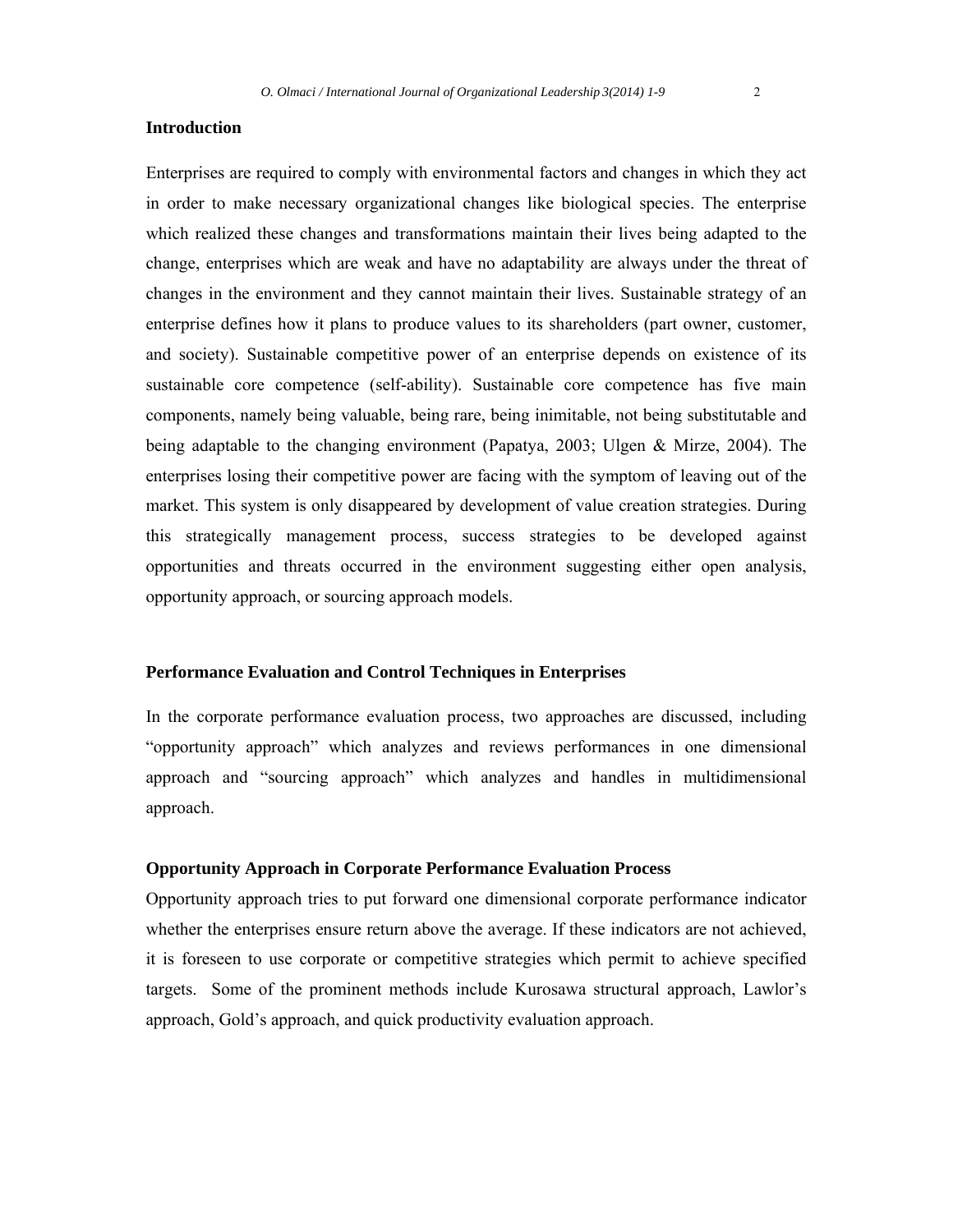## **Introduction**

Enterprises are required to comply with environmental factors and changes in which they act in order to make necessary organizational changes like biological species. The enterprise which realized these changes and transformations maintain their lives being adapted to the change, enterprises which are weak and have no adaptability are always under the threat of changes in the environment and they cannot maintain their lives. Sustainable strategy of an enterprise defines how it plans to produce values to its shareholders (part owner, customer, and society). Sustainable competitive power of an enterprise depends on existence of its sustainable core competence (self-ability). Sustainable core competence has five main components, namely being valuable, being rare, being inimitable, not being substitutable and being adaptable to the changing environment (Papatya, 2003; Ulgen & Mirze, 2004). The enterprises losing their competitive power are facing with the symptom of leaving out of the market. This system is only disappeared by development of value creation strategies. During this strategically management process, success strategies to be developed against opportunities and threats occurred in the environment suggesting either open analysis, opportunity approach, or sourcing approach models.

#### **Performance Evaluation and Control Techniques in Enterprises**

In the corporate performance evaluation process, two approaches are discussed, including "opportunity approach" which analyzes and reviews performances in one dimensional approach and "sourcing approach" which analyzes and handles in multidimensional approach.

#### **Opportunity Approach in Corporate Performance Evaluation Process**

Opportunity approach tries to put forward one dimensional corporate performance indicator whether the enterprises ensure return above the average. If these indicators are not achieved, it is foreseen to use corporate or competitive strategies which permit to achieve specified targets. Some of the prominent methods include Kurosawa structural approach, Lawlor's approach, Gold's approach, and quick productivity evaluation approach.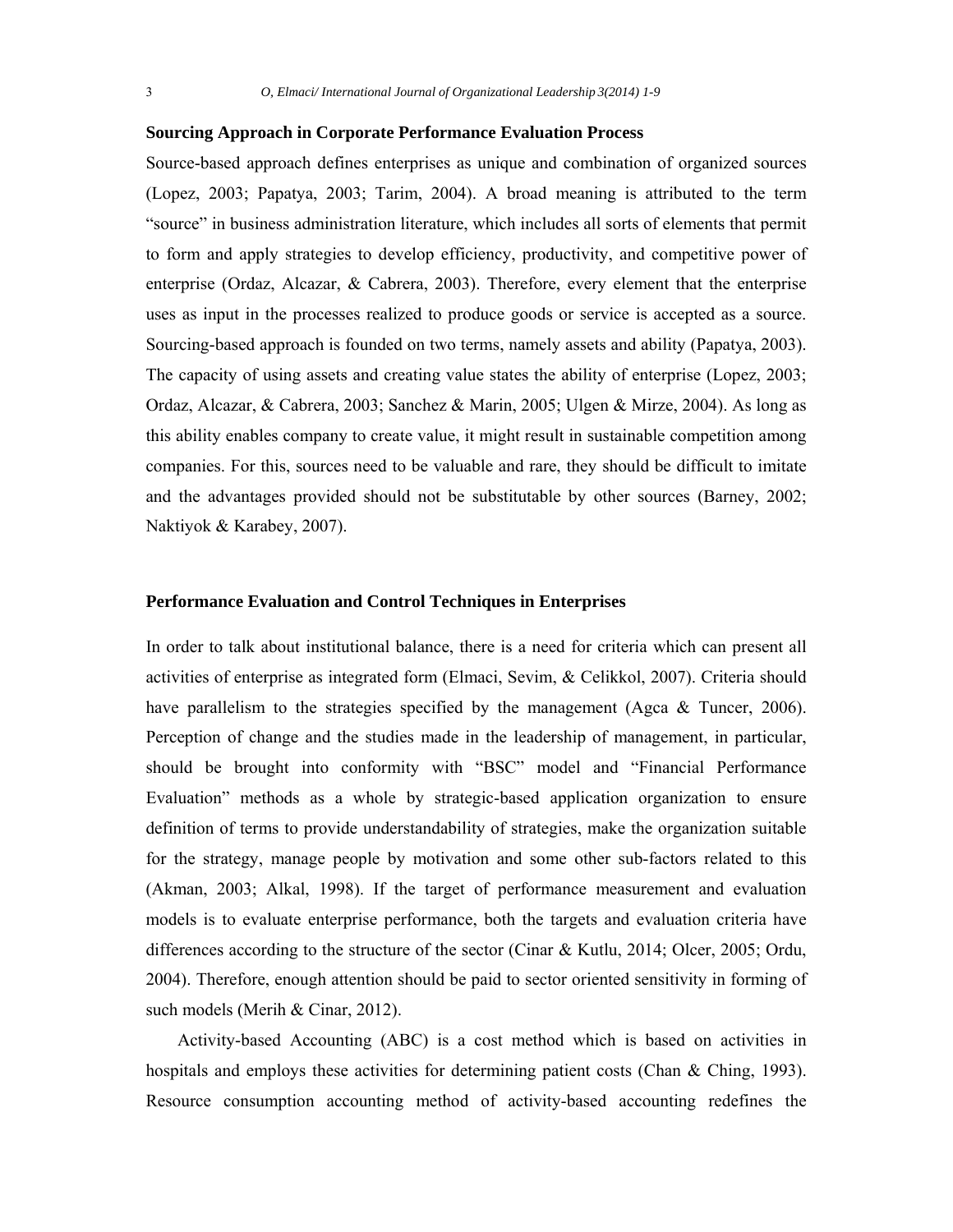## **Sourcing Approach in Corporate Performance Evaluation Process**

Source-based approach defines enterprises as unique and combination of organized sources (Lopez, 2003; Papatya, 2003; Tarim, 2004). A broad meaning is attributed to the term "source" in business administration literature, which includes all sorts of elements that permit to form and apply strategies to develop efficiency, productivity, and competitive power of enterprise (Ordaz, Alcazar, & Cabrera, 2003). Therefore, every element that the enterprise uses as input in the processes realized to produce goods or service is accepted as a source. Sourcing-based approach is founded on two terms, namely assets and ability (Papatya, 2003). The capacity of using assets and creating value states the ability of enterprise (Lopez, 2003; Ordaz, Alcazar, & Cabrera, 2003; Sanchez & Marin, 2005; Ulgen & Mirze, 2004). As long as this ability enables company to create value, it might result in sustainable competition among companies. For this, sources need to be valuable and rare, they should be difficult to imitate and the advantages provided should not be substitutable by other sources (Barney, 2002; Naktiyok & Karabey, 2007).

#### **Performance Evaluation and Control Techniques in Enterprises**

In order to talk about institutional balance, there is a need for criteria which can present all activities of enterprise as integrated form (Elmaci, Sevim, & Celikkol, 2007). Criteria should have parallelism to the strategies specified by the management (Agca & Tuncer, 2006). Perception of change and the studies made in the leadership of management, in particular, should be brought into conformity with "BSC" model and "Financial Performance Evaluation" methods as a whole by strategic-based application organization to ensure definition of terms to provide understandability of strategies, make the organization suitable for the strategy, manage people by motivation and some other sub-factors related to this (Akman, 2003; Alkal, 1998). If the target of performance measurement and evaluation models is to evaluate enterprise performance, both the targets and evaluation criteria have differences according to the structure of the sector (Cinar & Kutlu, 2014; Olcer, 2005; Ordu, 2004). Therefore, enough attention should be paid to sector oriented sensitivity in forming of such models (Merih & Cinar, 2012).

Activity-based Accounting (ABC) is a cost method which is based on activities in hospitals and employs these activities for determining patient costs (Chan & Ching, 1993). Resource consumption accounting method of activity-based accounting redefines the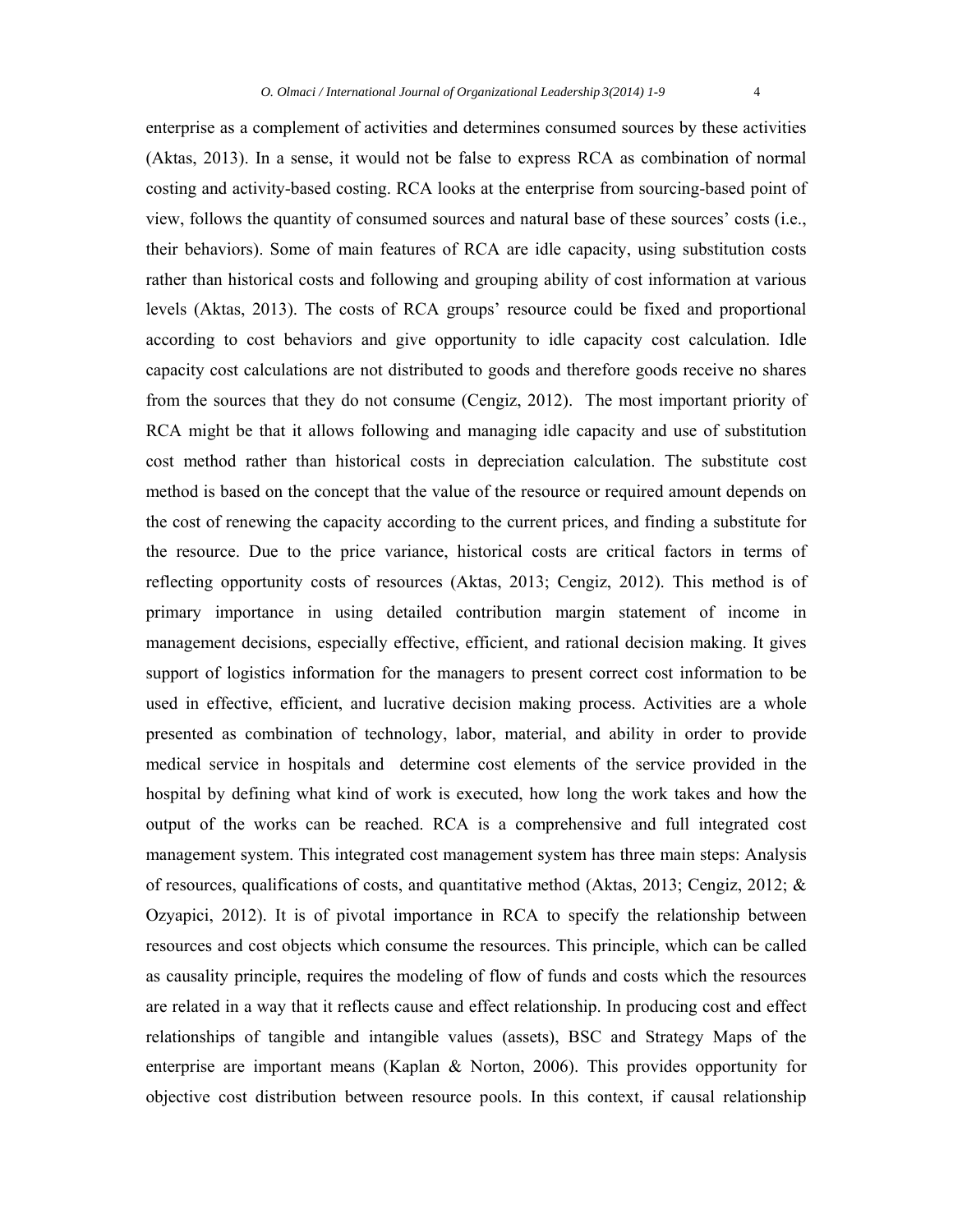enterprise as a complement of activities and determines consumed sources by these activities (Aktas, 2013). In a sense, it would not be false to express RCA as combination of normal costing and activity-based costing. RCA looks at the enterprise from sourcing-based point of view, follows the quantity of consumed sources and natural base of these sources' costs (i.e., their behaviors). Some of main features of RCA are idle capacity, using substitution costs rather than historical costs and following and grouping ability of cost information at various levels (Aktas, 2013). The costs of RCA groups' resource could be fixed and proportional according to cost behaviors and give opportunity to idle capacity cost calculation. Idle capacity cost calculations are not distributed to goods and therefore goods receive no shares from the sources that they do not consume (Cengiz, 2012). The most important priority of RCA might be that it allows following and managing idle capacity and use of substitution cost method rather than historical costs in depreciation calculation. The substitute cost method is based on the concept that the value of the resource or required amount depends on the cost of renewing the capacity according to the current prices, and finding a substitute for the resource. Due to the price variance, historical costs are critical factors in terms of reflecting opportunity costs of resources (Aktas, 2013; Cengiz, 2012). This method is of primary importance in using detailed contribution margin statement of income in management decisions, especially effective, efficient, and rational decision making. It gives support of logistics information for the managers to present correct cost information to be used in effective, efficient, and lucrative decision making process. Activities are a whole presented as combination of technology, labor, material, and ability in order to provide medical service in hospitals and determine cost elements of the service provided in the hospital by defining what kind of work is executed, how long the work takes and how the output of the works can be reached. RCA is a comprehensive and full integrated cost management system. This integrated cost management system has three main steps: Analysis of resources, qualifications of costs, and quantitative method (Aktas, 2013; Cengiz, 2012;  $\&$ Ozyapici, 2012). It is of pivotal importance in RCA to specify the relationship between resources and cost objects which consume the resources. This principle, which can be called as causality principle, requires the modeling of flow of funds and costs which the resources are related in a way that it reflects cause and effect relationship. In producing cost and effect relationships of tangible and intangible values (assets), BSC and Strategy Maps of the enterprise are important means (Kaplan & Norton, 2006). This provides opportunity for objective cost distribution between resource pools. In this context, if causal relationship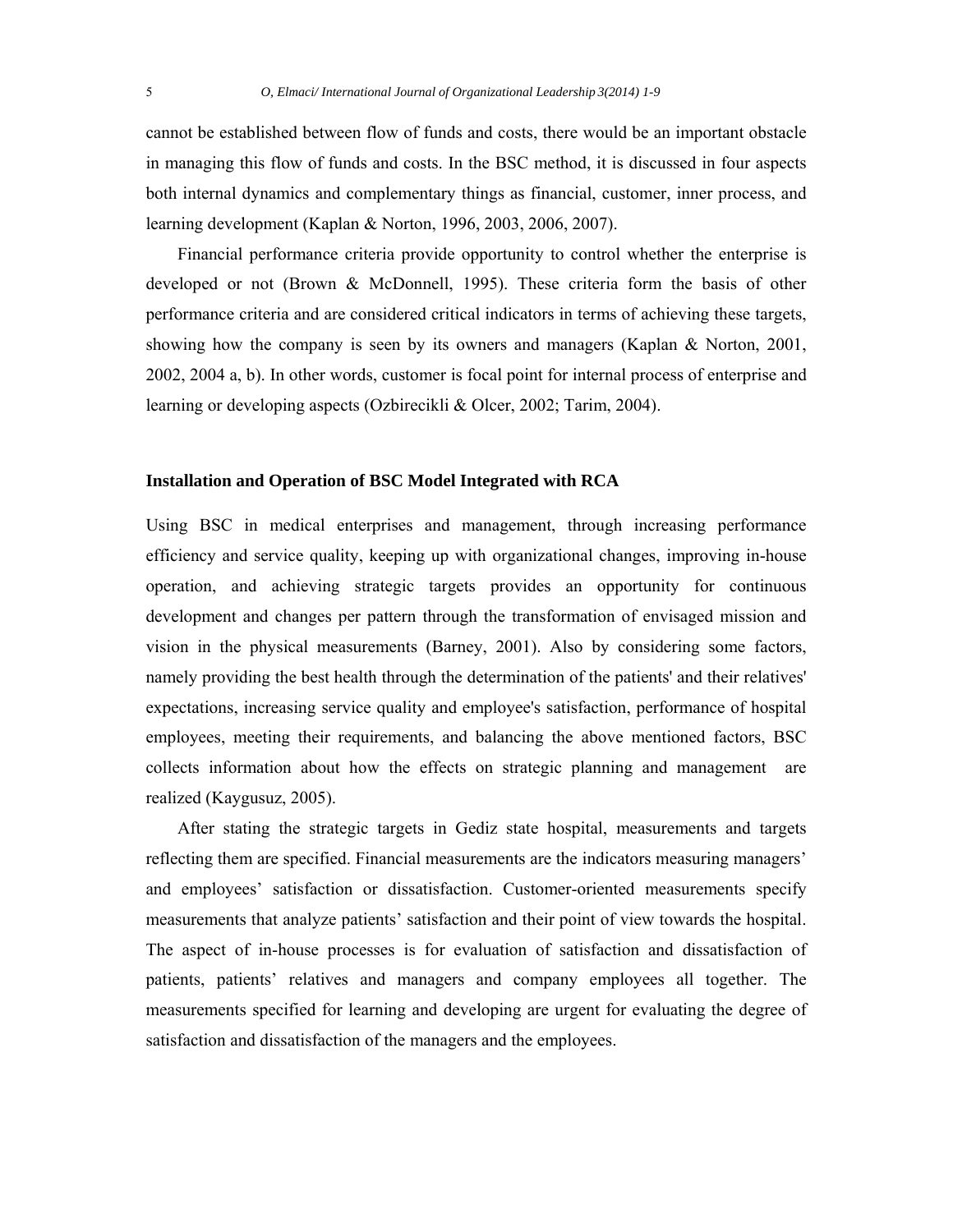cannot be established between flow of funds and costs, there would be an important obstacle in managing this flow of funds and costs. In the BSC method, it is discussed in four aspects both internal dynamics and complementary things as financial, customer, inner process, and learning development (Kaplan & Norton, 1996, 2003, 2006, 2007).

Financial performance criteria provide opportunity to control whether the enterprise is developed or not (Brown & McDonnell, 1995). These criteria form the basis of other performance criteria and are considered critical indicators in terms of achieving these targets, showing how the company is seen by its owners and managers (Kaplan  $\&$  Norton, 2001, 2002, 2004 a, b). In other words, customer is focal point for internal process of enterprise and learning or developing aspects (Ozbirecikli & Olcer, 2002; Tarim, 2004).

#### **Installation and Operation of BSC Model Integrated with RCA**

Using BSC in medical enterprises and management, through increasing performance efficiency and service quality, keeping up with organizational changes, improving in-house operation, and achieving strategic targets provides an opportunity for continuous development and changes per pattern through the transformation of envisaged mission and vision in the physical measurements (Barney, 2001). Also by considering some factors, namely providing the best health through the determination of the patients' and their relatives' expectations, increasing service quality and employee's satisfaction, performance of hospital employees, meeting their requirements, and balancing the above mentioned factors, BSC collects information about how the effects on strategic planning and management are realized (Kaygusuz, 2005).

After stating the strategic targets in Gediz state hospital, measurements and targets reflecting them are specified. Financial measurements are the indicators measuring managers' and employees' satisfaction or dissatisfaction. Customer-oriented measurements specify measurements that analyze patients' satisfaction and their point of view towards the hospital. The aspect of in-house processes is for evaluation of satisfaction and dissatisfaction of patients, patients' relatives and managers and company employees all together. The measurements specified for learning and developing are urgent for evaluating the degree of satisfaction and dissatisfaction of the managers and the employees.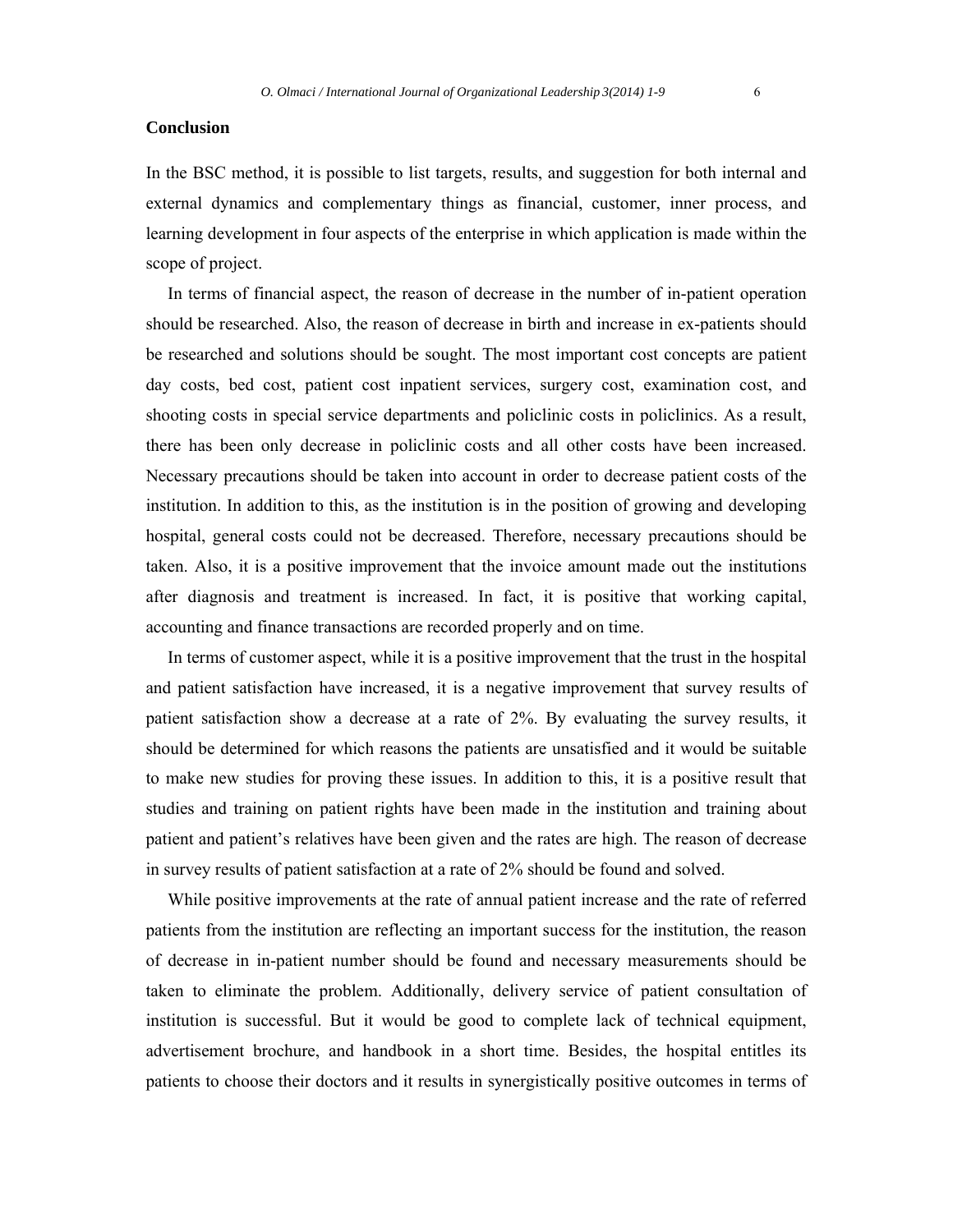# **Conclusion**

In the BSC method, it is possible to list targets, results, and suggestion for both internal and external dynamics and complementary things as financial, customer, inner process, and learning development in four aspects of the enterprise in which application is made within the scope of project.

 In terms of financial aspect, the reason of decrease in the number of in-patient operation should be researched. Also, the reason of decrease in birth and increase in ex-patients should be researched and solutions should be sought. The most important cost concepts are patient day costs, bed cost, patient cost inpatient services, surgery cost, examination cost, and shooting costs in special service departments and policlinic costs in policlinics. As a result, there has been only decrease in policlinic costs and all other costs have been increased. Necessary precautions should be taken into account in order to decrease patient costs of the institution. In addition to this, as the institution is in the position of growing and developing hospital, general costs could not be decreased. Therefore, necessary precautions should be taken. Also, it is a positive improvement that the invoice amount made out the institutions after diagnosis and treatment is increased. In fact, it is positive that working capital, accounting and finance transactions are recorded properly and on time.

 In terms of customer aspect, while it is a positive improvement that the trust in the hospital and patient satisfaction have increased, it is a negative improvement that survey results of patient satisfaction show a decrease at a rate of 2%. By evaluating the survey results, it should be determined for which reasons the patients are unsatisfied and it would be suitable to make new studies for proving these issues. In addition to this, it is a positive result that studies and training on patient rights have been made in the institution and training about patient and patient's relatives have been given and the rates are high. The reason of decrease in survey results of patient satisfaction at a rate of 2% should be found and solved.

 While positive improvements at the rate of annual patient increase and the rate of referred patients from the institution are reflecting an important success for the institution, the reason of decrease in in-patient number should be found and necessary measurements should be taken to eliminate the problem. Additionally, delivery service of patient consultation of institution is successful. But it would be good to complete lack of technical equipment, advertisement brochure, and handbook in a short time. Besides, the hospital entitles its patients to choose their doctors and it results in synergistically positive outcomes in terms of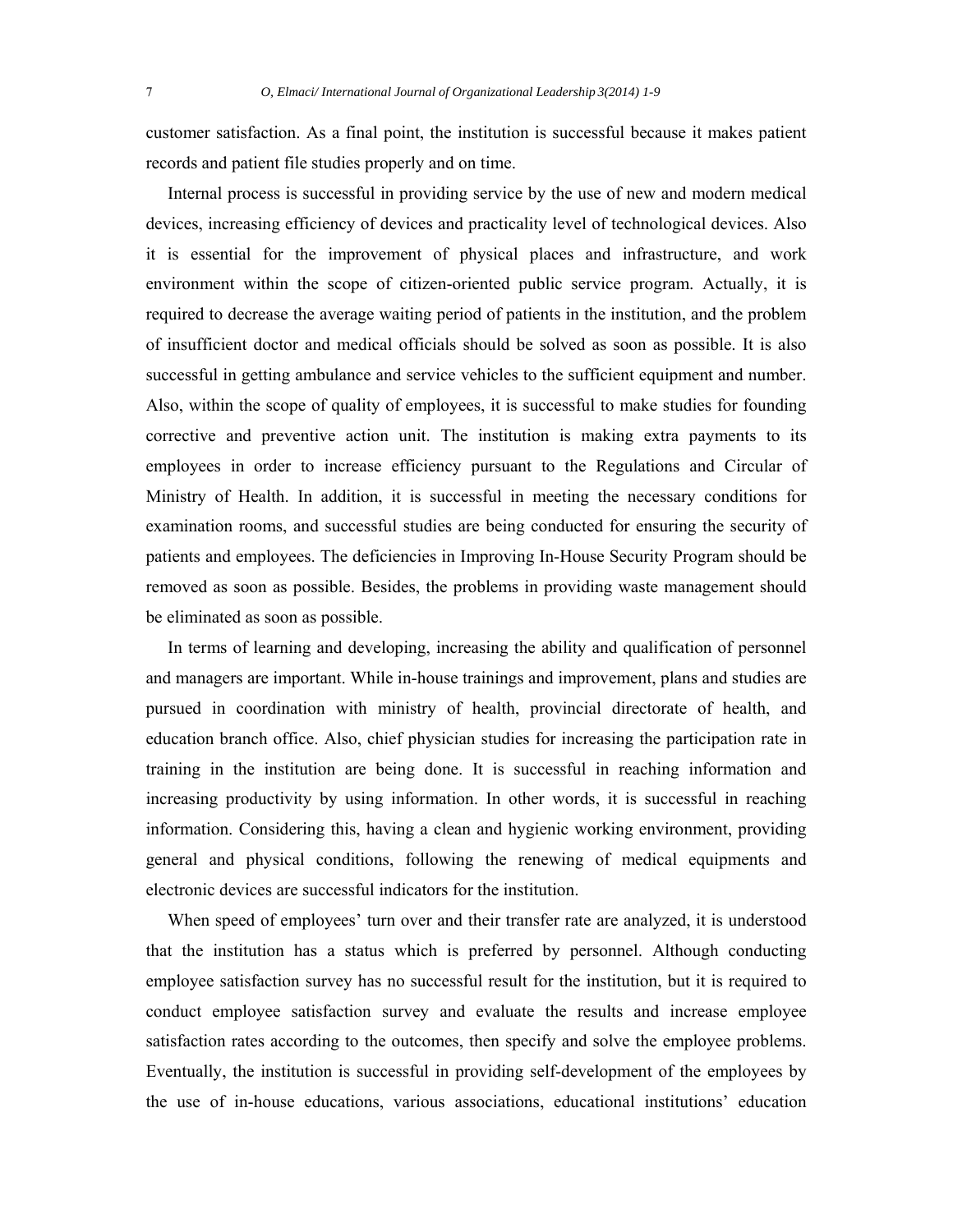customer satisfaction. As a final point, the institution is successful because it makes patient records and patient file studies properly and on time.

 Internal process is successful in providing service by the use of new and modern medical devices, increasing efficiency of devices and practicality level of technological devices. Also it is essential for the improvement of physical places and infrastructure, and work environment within the scope of citizen-oriented public service program. Actually, it is required to decrease the average waiting period of patients in the institution, and the problem of insufficient doctor and medical officials should be solved as soon as possible. It is also successful in getting ambulance and service vehicles to the sufficient equipment and number. Also, within the scope of quality of employees, it is successful to make studies for founding corrective and preventive action unit. The institution is making extra payments to its employees in order to increase efficiency pursuant to the Regulations and Circular of Ministry of Health. In addition, it is successful in meeting the necessary conditions for examination rooms, and successful studies are being conducted for ensuring the security of patients and employees. The deficiencies in Improving In-House Security Program should be removed as soon as possible. Besides, the problems in providing waste management should be eliminated as soon as possible.

 In terms of learning and developing, increasing the ability and qualification of personnel and managers are important. While in-house trainings and improvement, plans and studies are pursued in coordination with ministry of health, provincial directorate of health, and education branch office. Also, chief physician studies for increasing the participation rate in training in the institution are being done. It is successful in reaching information and increasing productivity by using information. In other words, it is successful in reaching information. Considering this, having a clean and hygienic working environment, providing general and physical conditions, following the renewing of medical equipments and electronic devices are successful indicators for the institution.

 When speed of employees' turn over and their transfer rate are analyzed, it is understood that the institution has a status which is preferred by personnel. Although conducting employee satisfaction survey has no successful result for the institution, but it is required to conduct employee satisfaction survey and evaluate the results and increase employee satisfaction rates according to the outcomes, then specify and solve the employee problems. Eventually, the institution is successful in providing self-development of the employees by the use of in-house educations, various associations, educational institutions' education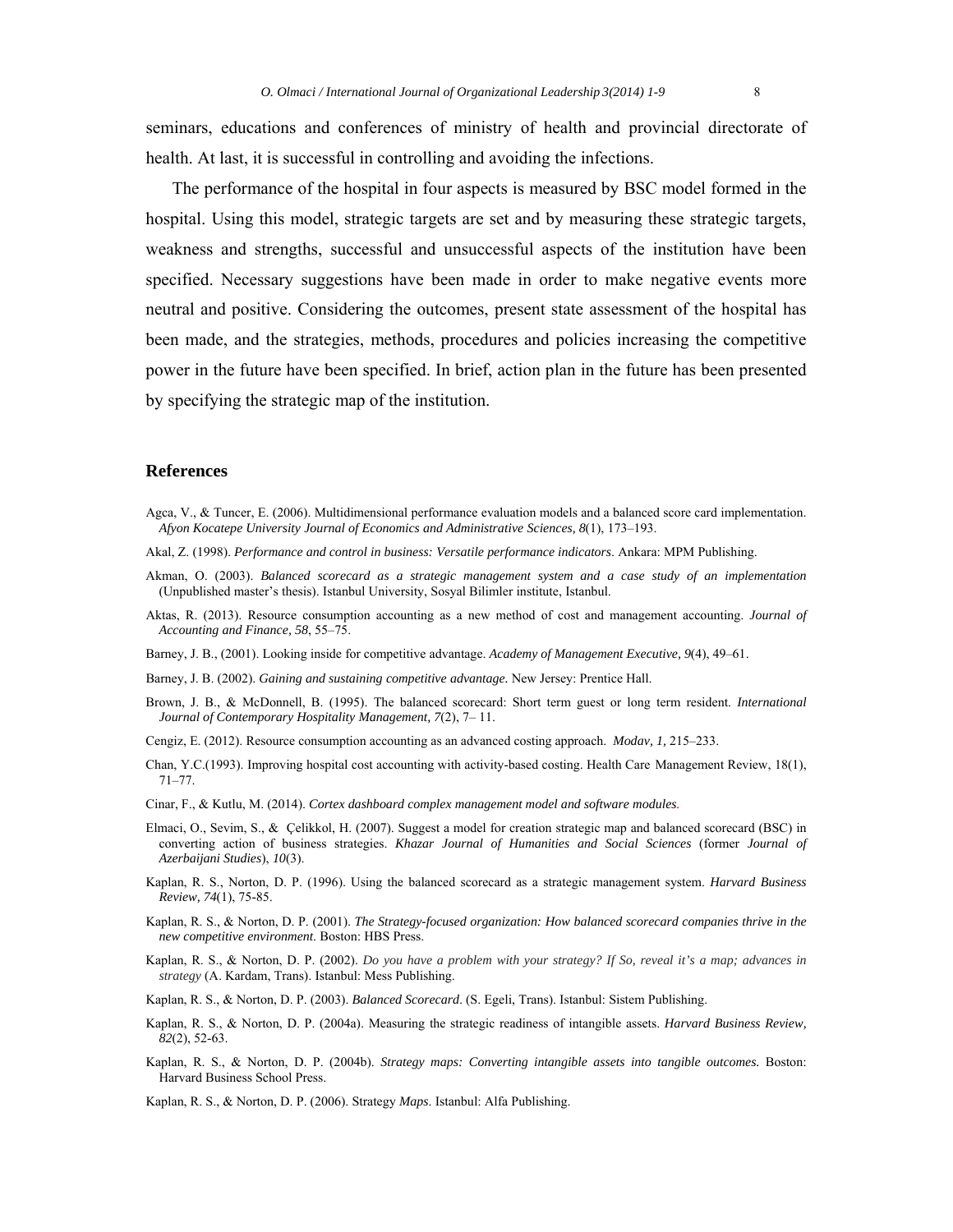seminars, educations and conferences of ministry of health and provincial directorate of health. At last, it is successful in controlling and avoiding the infections.

The performance of the hospital in four aspects is measured by BSC model formed in the hospital. Using this model, strategic targets are set and by measuring these strategic targets, weakness and strengths, successful and unsuccessful aspects of the institution have been specified. Necessary suggestions have been made in order to make negative events more neutral and positive. Considering the outcomes, present state assessment of the hospital has been made, and the strategies, methods, procedures and policies increasing the competitive power in the future have been specified. In brief, action plan in the future has been presented by specifying the strategic map of the institution.

## **References**

- Agca, V., & Tuncer, E. (2006). Multidimensional performance evaluation models and a balanced score card implementation. *Afyon Kocatepe University Journal of Economics and Administrative Sciences, 8*(1), 173–193.
- Akal, Z. (1998). *Performance and control in business: Versatile performance indicators*. Ankara: MPM Publishing.
- Akman, O. (2003). *Balanced scorecard as a strategic management system and a case study of an implementation* (Unpublished master's thesis). Istanbul University, Sosyal Bilimler institute, Istanbul.
- Aktas, R. (2013). Resource consumption accounting as a new method of cost and management accounting. *Journal of Accounting and Finance, 58*, 55–75.
- Barney, J. B., (2001). Looking inside for competitive advantage. *Academy of Management Executive, 9*(4), 49–61.
- Barney, J. B. (2002). *Gaining and sustaining competitive advantage.* New Jersey: Prentice Hall.
- Brown, J. B., & McDonnell, B. (1995). The balanced scorecard: Short term guest or long term resident. *International Journal of Contemporary Hospitality Management, 7*(2), 7– 11.
- Cengiz, E. (2012). Resource consumption accounting as an advanced costing approach. *Modav, 1,* 215–233.
- Chan, Y.C.(1993). Improving hospital cost accounting with activity-based costing. Health Care Management Review, 18(1), 71–77.
- Cinar, F., & Kutlu, M. (2014). *Cortex dashboard complex management model and software modules.*
- Elmaci, O., Sevim, S., & Çelikkol, H. (2007). Suggest a model for creation strategic map and balanced scorecard (BSC) in converting action of business strategies. *Khazar Journal of Humanities and Social Sciences* (former *Journal of Azerbaijani Studies*), *10*(3).
- Kaplan, R. S., Norton, D. P. (1996). Using the balanced scorecard as a strategic management system. *Harvard Business Review, 74*(1), 75-85.
- Kaplan, R. S., & Norton, D. P. (2001). *The Strategy-focused organization: How balanced scorecard companies thrive in the new competitive environment*. Boston: HBS Press.
- Kaplan, R. S., & Norton, D. P. (2002). *Do you have a problem with your strategy? If So, reveal it's a map; advances in strategy* (A. Kardam, Trans). Istanbul: Mess Publishing.
- Kaplan, R. S., & Norton, D. P. (2003). *Balanced Scorecard*. (S. Egeli, Trans). Istanbul: Sistem Publishing.
- Kaplan, R. S., & Norton, D. P. (2004a). Measuring the strategic readiness of intangible assets. *Harvard Business Review, 82*(2), 52-63.
- Kaplan, R. S., & Norton, D. P. (2004b). *Strategy maps: Converting intangible assets into tangible outcomes.* Boston: Harvard Business School Press.
- Kaplan, R. S., & Norton, D. P. (2006). Strategy *Maps*. Istanbul: Alfa Publishing.